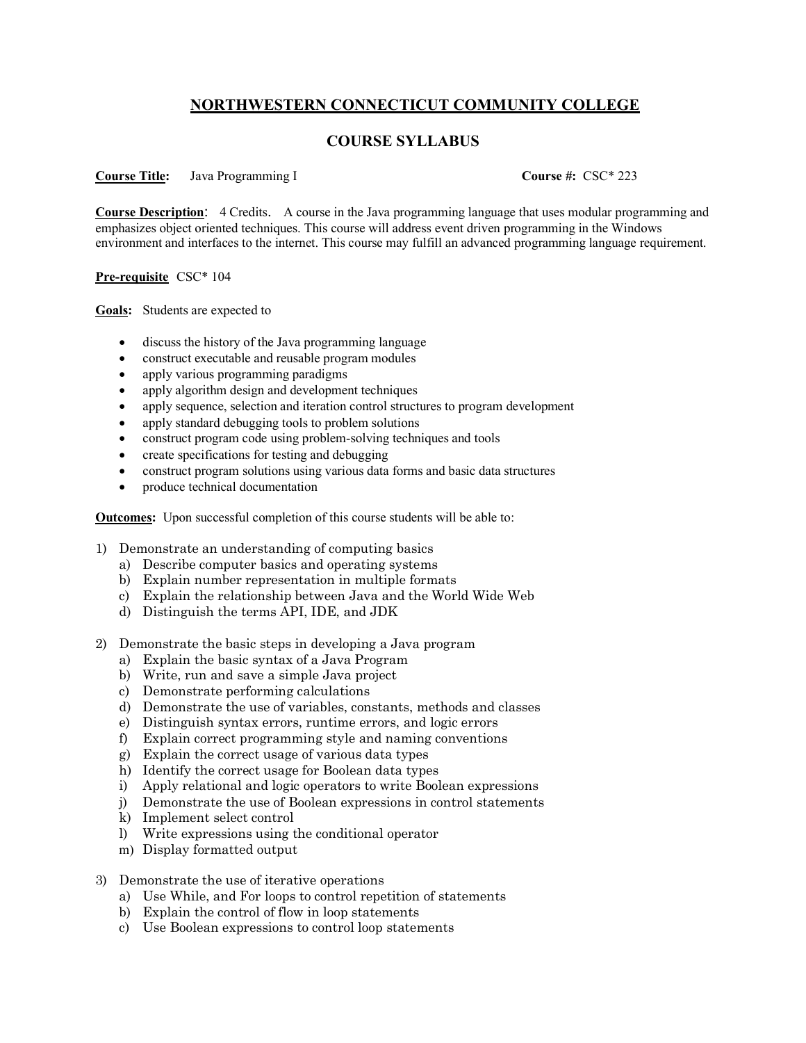## **NORTHWESTERN CONNECTICUT COMMUNITY COLLEGE**

## **COURSE SYLLABUS**

## **Course Title:** Java Programming I **Course #:** CSC\* 223

**Course Description**: 4 Credits. A course in the Java programming language that uses modular programming and emphasizes object oriented techniques. This course will address event driven programming in the Windows environment and interfaces to the internet. This course may fulfill an advanced programming language requirement.

## **Pre-requisite** CSC\* 104

**Goals:** Students are expected to

- discuss the history of the Java programming language
- construct executable and reusable program modules
- apply various programming paradigms
- apply algorithm design and development techniques
- apply sequence, selection and iteration control structures to program development
- apply standard debugging tools to problem solutions
- construct program code using problem-solving techniques and tools
- create specifications for testing and debugging
- construct program solutions using various data forms and basic data structures
- produce technical documentation

**Outcomes:** Upon successful completion of this course students will be able to:

- 1) Demonstrate an understanding of computing basics
	- a) Describe computer basics and operating systems
	- b) Explain number representation in multiple formats
	- c) Explain the relationship between Java and the World Wide Web
	- d) Distinguish the terms API, IDE, and JDK
- 2) Demonstrate the basic steps in developing a Java program
	- a) Explain the basic syntax of a Java Program
	- b) Write, run and save a simple Java project
	- c) Demonstrate performing calculations
	- d) Demonstrate the use of variables, constants, methods and classes
	- e) Distinguish syntax errors, runtime errors, and logic errors
	- f) Explain correct programming style and naming conventions
	- g) Explain the correct usage of various data types
	- h) Identify the correct usage for Boolean data types
	- i) Apply relational and logic operators to write Boolean expressions
	- j) Demonstrate the use of Boolean expressions in control statements
	- k) Implement select control
	- l) Write expressions using the conditional operator
	- m) Display formatted output
- 3) Demonstrate the use of iterative operations
	- a) Use While, and For loops to control repetition of statements
	- b) Explain the control of flow in loop statements
	- c) Use Boolean expressions to control loop statements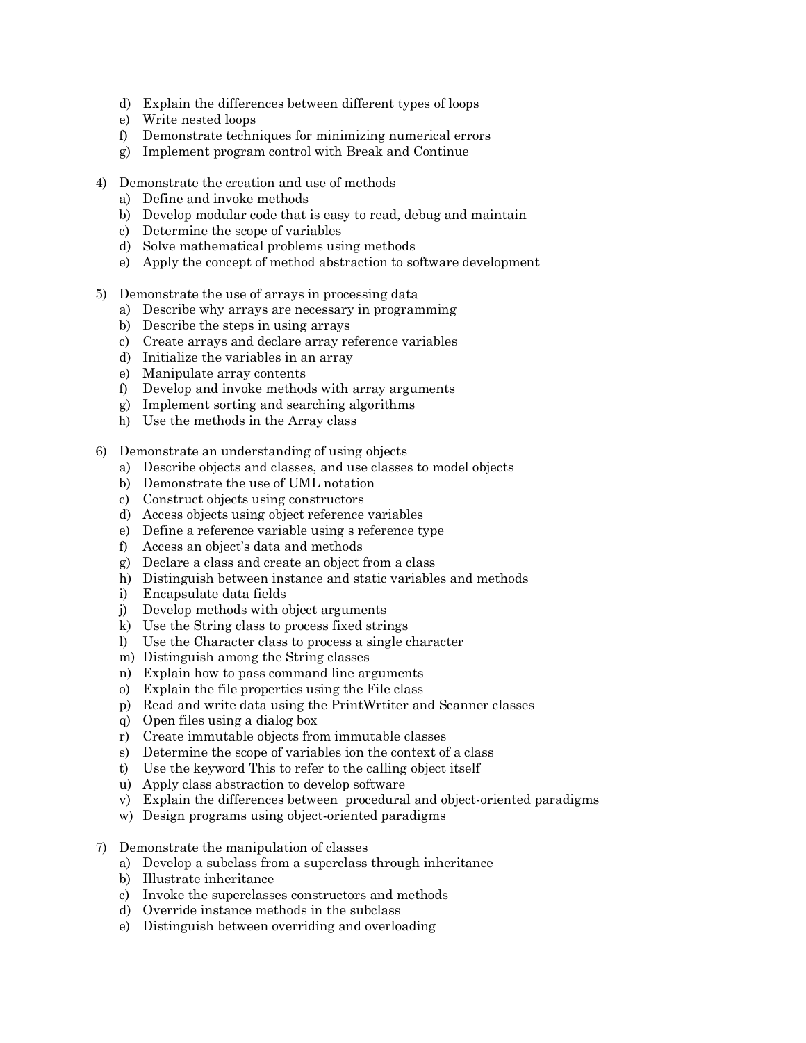- d) Explain the differences between different types of loops
- e) Write nested loops
- f) Demonstrate techniques for minimizing numerical errors
- g) Implement program control with Break and Continue
- 4) Demonstrate the creation and use of methods
	- a) Define and invoke methods
	- b) Develop modular code that is easy to read, debug and maintain
	- c) Determine the scope of variables
	- d) Solve mathematical problems using methods
	- e) Apply the concept of method abstraction to software development
- 5) Demonstrate the use of arrays in processing data
	- a) Describe why arrays are necessary in programming
	- b) Describe the steps in using arrays
	- c) Create arrays and declare array reference variables
	- d) Initialize the variables in an array
	- e) Manipulate array contents
	- f) Develop and invoke methods with array arguments
	- g) Implement sorting and searching algorithms
	- h) Use the methods in the Array class
- 6) Demonstrate an understanding of using objects
	- a) Describe objects and classes, and use classes to model objects
	- b) Demonstrate the use of UML notation
	- c) Construct objects using constructors
	- d) Access objects using object reference variables
	- e) Define a reference variable using s reference type
	- f) Access an object's data and methods
	- g) Declare a class and create an object from a class
	- h) Distinguish between instance and static variables and methods
	- i) Encapsulate data fields
	- j) Develop methods with object arguments
	- k) Use the String class to process fixed strings
	- l) Use the Character class to process a single character
	- m) Distinguish among the String classes
	- n) Explain how to pass command line arguments
	- o) Explain the file properties using the File class
	- p) Read and write data using the PrintWrtiter and Scanner classes
	- q) Open files using a dialog box
	- r) Create immutable objects from immutable classes
	- s) Determine the scope of variables ion the context of a class
	- t) Use the keyword This to refer to the calling object itself
	- u) Apply class abstraction to develop software
	- v) Explain the differences between procedural and object-oriented paradigms
	- w) Design programs using object-oriented paradigms
- 7) Demonstrate the manipulation of classes
	- a) Develop a subclass from a superclass through inheritance
	- b) Illustrate inheritance
	- c) Invoke the superclasses constructors and methods
	- d) Override instance methods in the subclass
	- e) Distinguish between overriding and overloading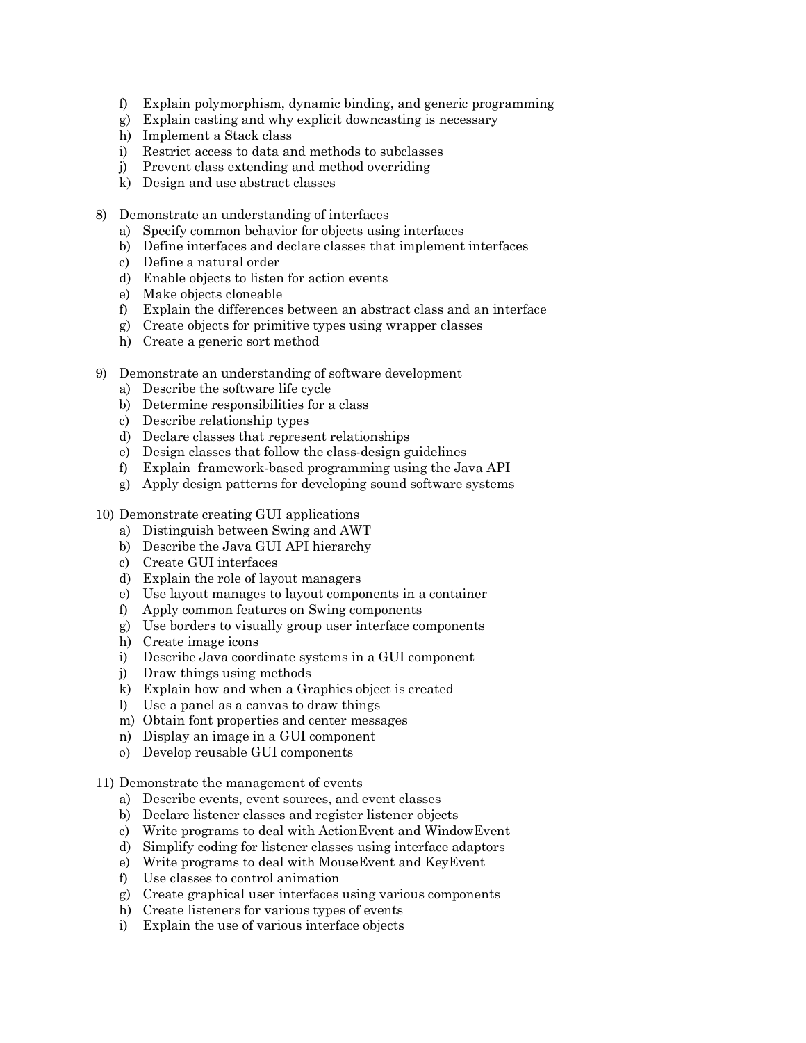- f) Explain polymorphism, dynamic binding, and generic programming
- g) Explain casting and why explicit downcasting is necessary
- h) Implement a Stack class
- i) Restrict access to data and methods to subclasses
- j) Prevent class extending and method overriding
- k) Design and use abstract classes
- 8) Demonstrate an understanding of interfaces
	- a) Specify common behavior for objects using interfaces
	- b) Define interfaces and declare classes that implement interfaces
	- c) Define a natural order
	- d) Enable objects to listen for action events
	- e) Make objects cloneable
	- f) Explain the differences between an abstract class and an interface
	- g) Create objects for primitive types using wrapper classes
	- h) Create a generic sort method
- 9) Demonstrate an understanding of software development
	- a) Describe the software life cycle
	- b) Determine responsibilities for a class
	- c) Describe relationship types
	- d) Declare classes that represent relationships
	- e) Design classes that follow the class-design guidelines
	- f) Explain framework-based programming using the Java API
	- g) Apply design patterns for developing sound software systems
- 10) Demonstrate creating GUI applications
	- a) Distinguish between Swing and AWT
	- b) Describe the Java GUI API hierarchy
	- c) Create GUI interfaces
	- d) Explain the role of layout managers
	- e) Use layout manages to layout components in a container
	- f) Apply common features on Swing components
	- g) Use borders to visually group user interface components
	- h) Create image icons
	- i) Describe Java coordinate systems in a GUI component
	- j) Draw things using methods
	- k) Explain how and when a Graphics object is created
	- l) Use a panel as a canvas to draw things
	- m) Obtain font properties and center messages
	- n) Display an image in a GUI component
	- o) Develop reusable GUI components
- 11) Demonstrate the management of events
	- a) Describe events, event sources, and event classes
	- b) Declare listener classes and register listener objects
	- c) Write programs to deal with ActionEvent and WindowEvent
	- d) Simplify coding for listener classes using interface adaptors
	- e) Write programs to deal with MouseEvent and KeyEvent
	- f) Use classes to control animation
	- g) Create graphical user interfaces using various components
	- h) Create listeners for various types of events
	- i) Explain the use of various interface objects